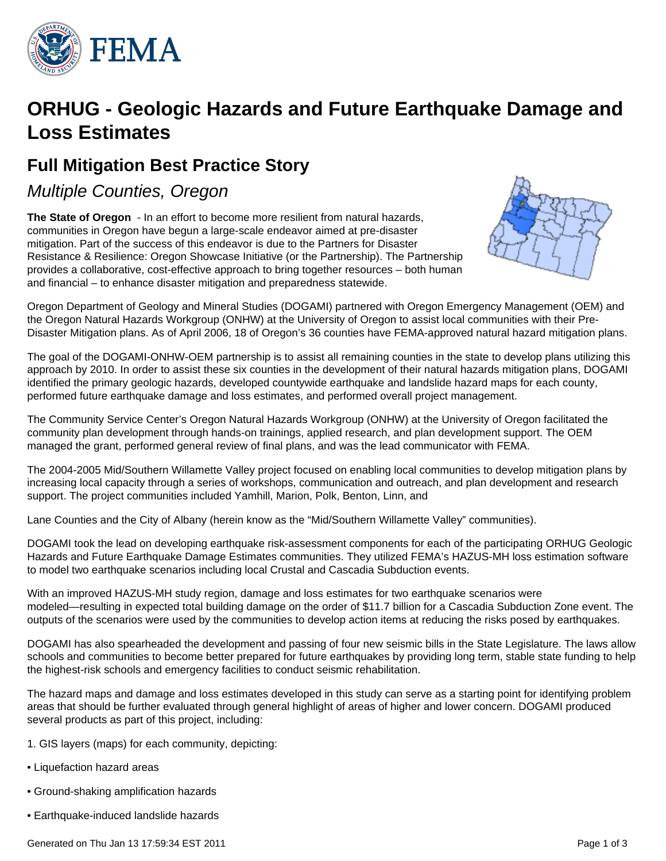

# **ORHUG - Geologic Hazards and Future Earthquake Damage and Loss Estimates**

## **Full Mitigation Best Practice Story**

Multiple Counties, Oregon

**The State of Oregon** - In an effort to become more resilient from natural hazards, communities in Oregon have begun a large-scale endeavor aimed at pre-disaster mitigation. Part of the success of this endeavor is due to the Partners for Disaster Resistance & Resilience: Oregon Showcase Initiative (or the Partnership). The Partnership provides a collaborative, cost-effective approach to bring together resources – both human and financial – to enhance disaster mitigation and preparedness statewide.



Oregon Department of Geology and Mineral Studies (DOGAMI) partnered with Oregon Emergency Management (OEM) and the Oregon Natural Hazards Workgroup (ONHW) at the University of Oregon to assist local communities with their Pre-Disaster Mitigation plans. As of April 2006, 18 of Oregon's 36 counties have FEMA-approved natural hazard mitigation plans.

The goal of the DOGAMI-ONHW-OEM partnership is to assist all remaining counties in the state to develop plans utilizing this approach by 2010. In order to assist these six counties in the development of their natural hazards mitigation plans, DOGAMI identified the primary geologic hazards, developed countywide earthquake and landslide hazard maps for each county, performed future earthquake damage and loss estimates, and performed overall project management.

The Community Service Center's Oregon Natural Hazards Workgroup (ONHW) at the University of Oregon facilitated the community plan development through hands-on trainings, applied research, and plan development support. The OEM managed the grant, performed general review of final plans, and was the lead communicator with FEMA.

The 2004-2005 Mid/Southern Willamette Valley project focused on enabling local communities to develop mitigation plans by increasing local capacity through a series of workshops, communication and outreach, and plan development and research support. The project communities included Yamhill, Marion, Polk, Benton, Linn, and

Lane Counties and the City of Albany (herein know as the "Mid/Southern Willamette Valley" communities).

DOGAMI took the lead on developing earthquake risk-assessment components for each of the participating ORHUG Geologic Hazards and Future Earthquake Damage Estimates communities. They utilized FEMA's HAZUS-MH loss estimation software to model two earthquake scenarios including local Crustal and Cascadia Subduction events.

With an improved HAZUS-MH study region, damage and loss estimates for two earthquake scenarios were modeled—resulting in expected total building damage on the order of \$11.7 billion for a Cascadia Subduction Zone event. The outputs of the scenarios were used by the communities to develop action items at reducing the risks posed by earthquakes.

DOGAMI has also spearheaded the development and passing of four new seismic bills in the State Legislature. The laws allow schools and communities to become better prepared for future earthquakes by providing long term, stable state funding to help the highest-risk schools and emergency facilities to conduct seismic rehabilitation.

The hazard maps and damage and loss estimates developed in this study can serve as a starting point for identifying problem areas that should be further evaluated through general highlight of areas of higher and lower concern. DOGAMI produced several products as part of this project, including:

- 1. GIS layers (maps) for each community, depicting:
- Liquefaction hazard areas
- Ground-shaking amplification hazards
- Earthquake-induced landslide hazards

Generated on Thu Jan 13 17:59:34 EST 2011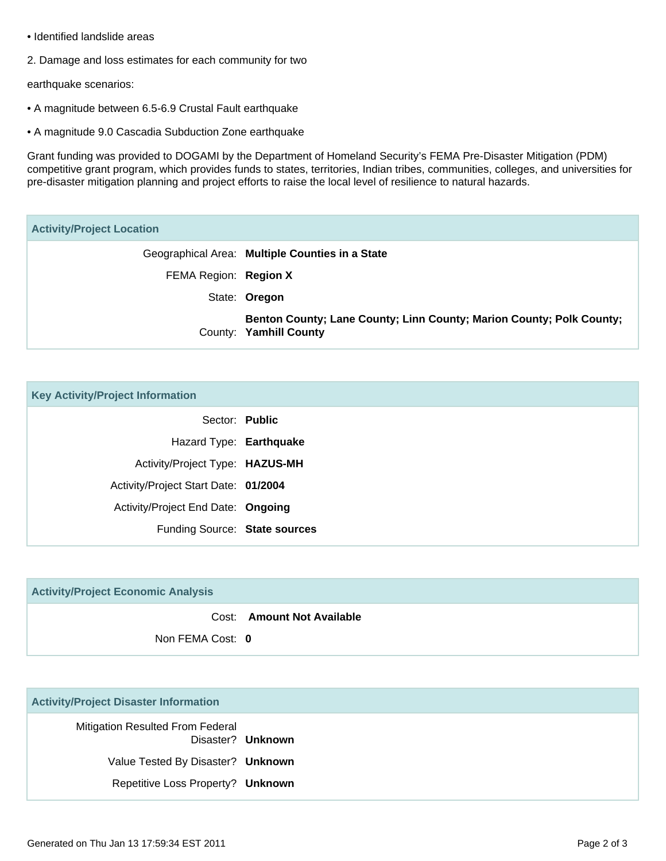- Identified landslide areas
- 2. Damage and loss estimates for each community for two

earthquake scenarios:

- A magnitude between 6.5-6.9 Crustal Fault earthquake
- A magnitude 9.0 Cascadia Subduction Zone earthquake

Grant funding was provided to DOGAMI by the Department of Homeland Security's FEMA Pre-Disaster Mitigation (PDM) competitive grant program, which provides funds to states, territories, Indian tribes, communities, colleges, and universities for pre-disaster mitigation planning and project efforts to raise the local level of resilience to natural hazards.

| <b>Activity/Project Location</b> |                                                                                                |
|----------------------------------|------------------------------------------------------------------------------------------------|
|                                  | Geographical Area: Multiple Counties in a State                                                |
| FEMA Region: Region X            |                                                                                                |
|                                  | State: Oregon                                                                                  |
|                                  | Benton County; Lane County; Linn County; Marion County; Polk County;<br>County: Yamhill County |

| <b>Key Activity/Project Information</b> |                |
|-----------------------------------------|----------------|
|                                         | Sector: Public |
| Hazard Type: Earthquake                 |                |
| Activity/Project Type: HAZUS-MH         |                |
| Activity/Project Start Date: 01/2004    |                |
| Activity/Project End Date: Ongoing      |                |
| Funding Source: State sources           |                |

| <b>Activity/Project Economic Analysis</b> |  |  |  |  |  |  |
|-------------------------------------------|--|--|--|--|--|--|
|-------------------------------------------|--|--|--|--|--|--|

Cost: **Amount Not Available**

Non FEMA Cost: **0**

### **Activity/Project Disaster Information**

Mitigation Resulted From Federal Disaster? **Unknown** Value Tested By Disaster? **Unknown** Repetitive Loss Property? **Unknown**